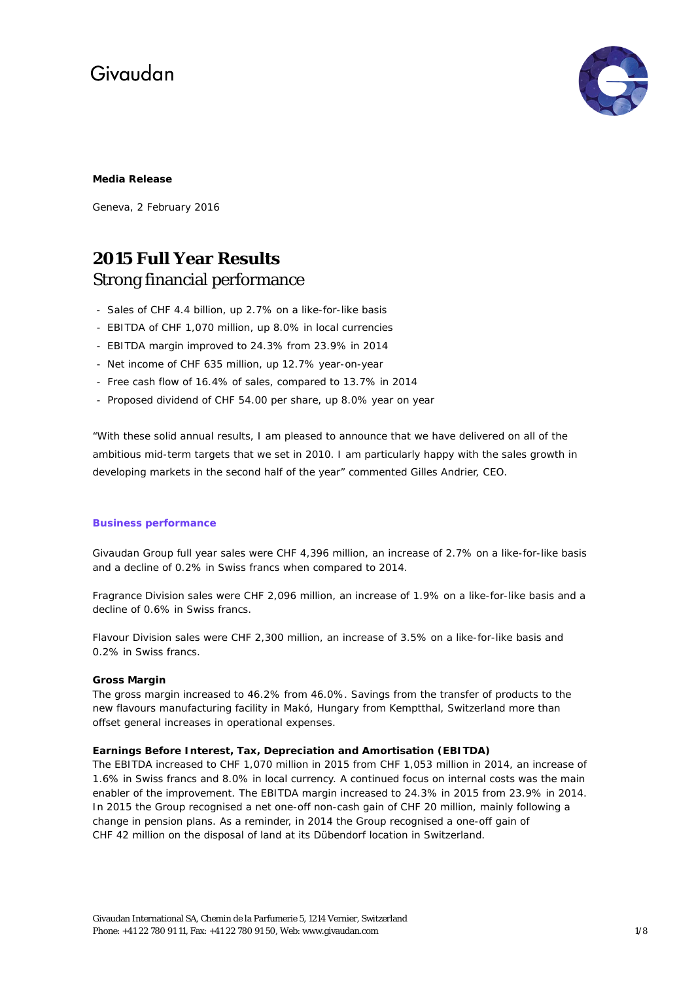

### **Media Release**

Geneva, 2 February 2016

# **2015 Full Year Results** Strong financial performance

- Sales of CHF 4.4 billion, up 2.7% on a like-for-like basis
- EBITDA of CHF 1,070 million, up 8.0% in local currencies
- EBITDA margin improved to 24.3% from 23.9% in 2014
- Net income of CHF 635 million, up 12.7% year-on-year
- Free cash flow of 16.4% of sales, compared to 13.7% in 2014
- Proposed dividend of CHF 54.00 per share, up 8.0% year on year

"With these solid annual results, I am pleased to announce that we have delivered on all of the ambitious mid-term targets that we set in 2010. I am particularly happy with the sales growth in developing markets in the second half of the year" commented Gilles Andrier, CEO.

#### **Business performance**

Givaudan Group full year sales were CHF 4,396 million, an increase of 2.7% on a like-for-like basis and a decline of 0.2% in Swiss francs when compared to 2014.

Fragrance Division sales were CHF 2,096 million, an increase of 1.9% on a like-for-like basis and a decline of 0.6% in Swiss francs.

Flavour Division sales were CHF 2,300 million, an increase of 3.5% on a like-for-like basis and 0.2% in Swiss francs.

#### **Gross Margin**

The gross margin increased to 46.2% from 46.0%. Savings from the transfer of products to the new flavours manufacturing facility in Makó, Hungary from Kemptthal, Switzerland more than offset general increases in operational expenses.

# **Earnings Before Interest, Tax, Depreciation and Amortisation (EBITDA)**

The EBITDA increased to CHF 1,070 million in 2015 from CHF 1,053 million in 2014, an increase of 1.6% in Swiss francs and 8.0% in local currency. A continued focus on internal costs was the main enabler of the improvement. The EBITDA margin increased to 24.3% in 2015 from 23.9% in 2014. In 2015 the Group recognised a net one-off non-cash gain of CHF 20 million, mainly following a change in pension plans. As a reminder, in 2014 the Group recognised a one-off gain of CHF 42 million on the disposal of land at its Dübendorf location in Switzerland.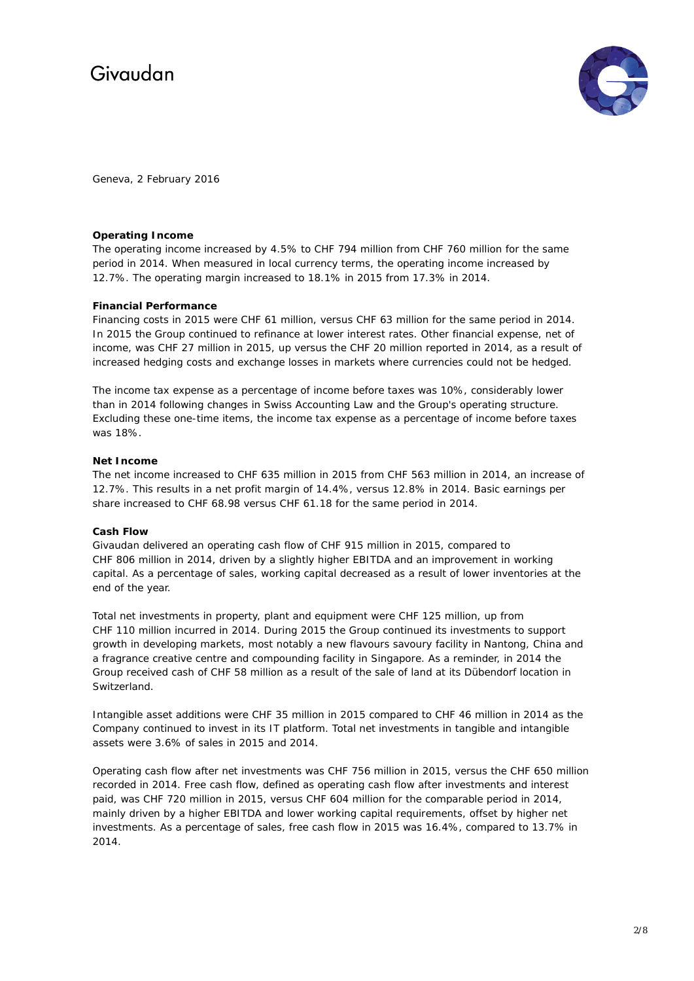

Geneva, 2 February 2016

#### **Operating Income**

The operating income increased by 4.5% to CHF 794 million from CHF 760 million for the same period in 2014. When measured in local currency terms, the operating income increased by 12.7%. The operating margin increased to 18.1% in 2015 from 17.3% in 2014.

### **Financial Performance**

Financing costs in 2015 were CHF 61 million, versus CHF 63 million for the same period in 2014. In 2015 the Group continued to refinance at lower interest rates. Other financial expense, net of income, was CHF 27 million in 2015, up versus the CHF 20 million reported in 2014, as a result of increased hedging costs and exchange losses in markets where currencies could not be hedged.

The income tax expense as a percentage of income before taxes was 10%, considerably lower than in 2014 following changes in Swiss Accounting Law and the Group's operating structure. Excluding these one-time items, the income tax expense as a percentage of income before taxes was 18%.

### **Net Income**

The net income increased to CHF 635 million in 2015 from CHF 563 million in 2014, an increase of 12.7%. This results in a net profit margin of 14.4%, versus 12.8% in 2014. Basic earnings per share increased to CHF 68.98 versus CHF 61.18 for the same period in 2014.

# **Cash Flow**

Givaudan delivered an operating cash flow of CHF 915 million in 2015, compared to CHF 806 million in 2014, driven by a slightly higher EBITDA and an improvement in working capital. As a percentage of sales, working capital decreased as a result of lower inventories at the end of the year.

Total net investments in property, plant and equipment were CHF 125 million, up from CHF 110 million incurred in 2014. During 2015 the Group continued its investments to support growth in developing markets, most notably a new flavours savoury facility in Nantong, China and a fragrance creative centre and compounding facility in Singapore. As a reminder, in 2014 the Group received cash of CHF 58 million as a result of the sale of land at its Dübendorf location in Switzerland.

Intangible asset additions were CHF 35 million in 2015 compared to CHF 46 million in 2014 as the Company continued to invest in its IT platform. Total net investments in tangible and intangible assets were 3.6% of sales in 2015 and 2014.

Operating cash flow after net investments was CHF 756 million in 2015, versus the CHF 650 million recorded in 2014. Free cash flow, defined as operating cash flow after investments and interest paid, was CHF 720 million in 2015, versus CHF 604 million for the comparable period in 2014, mainly driven by a higher EBITDA and lower working capital requirements, offset by higher net investments. As a percentage of sales, free cash flow in 2015 was 16.4%, compared to 13.7% in 2014.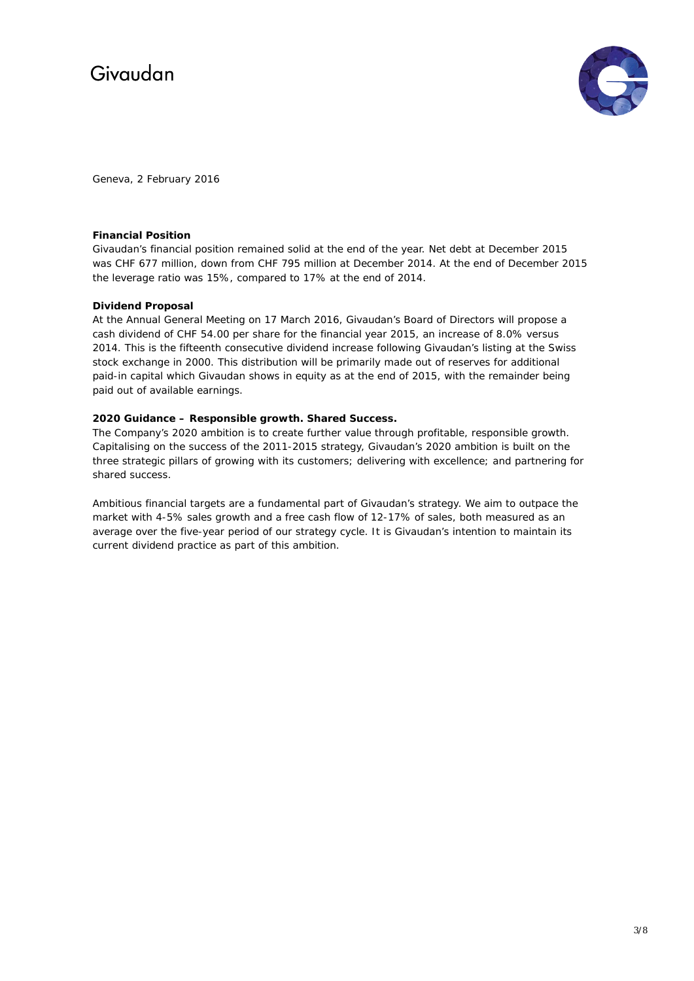

Geneva, 2 February 2016

### **Financial Position**

Givaudan's financial position remained solid at the end of the year. Net debt at December 2015 was CHF 677 million, down from CHF 795 million at December 2014. At the end of December 2015 the leverage ratio was 15%, compared to 17% at the end of 2014.

### **Dividend Proposal**

At the Annual General Meeting on 17 March 2016, Givaudan's Board of Directors will propose a cash dividend of CHF 54.00 per share for the financial year 2015, an increase of 8.0% versus 2014. This is the fifteenth consecutive dividend increase following Givaudan's listing at the Swiss stock exchange in 2000. This distribution will be primarily made out of reserves for additional paid-in capital which Givaudan shows in equity as at the end of 2015, with the remainder being paid out of available earnings.

### **2020 Guidance – Responsible growth. Shared Success.**

The Company's 2020 ambition is to create further value through profitable, responsible growth. Capitalising on the success of the 2011-2015 strategy, Givaudan's 2020 ambition is built on the three strategic pillars of growing with its customers; delivering with excellence; and partnering for shared success.

Ambitious financial targets are a fundamental part of Givaudan's strategy. We aim to outpace the market with 4-5% sales growth and a free cash flow of 12-17% of sales, both measured as an average over the five-year period of our strategy cycle. It is Givaudan's intention to maintain its current dividend practice as part of this ambition.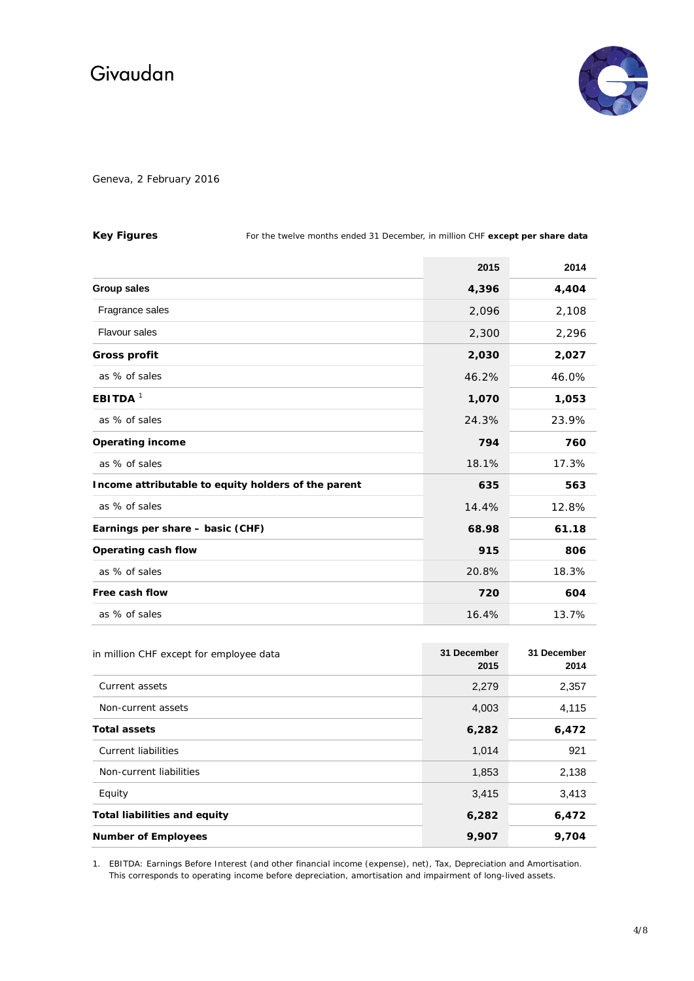

Geneva, 2 February 2016

| <b>Key Figures</b>                                  | For the twelve months ended 31 December, in million CHF except per share data |       |       |
|-----------------------------------------------------|-------------------------------------------------------------------------------|-------|-------|
|                                                     |                                                                               | 2015  | 2014  |
| <b>Group sales</b>                                  |                                                                               | 4,396 | 4,404 |
| Fragrance sales                                     |                                                                               | 2,096 | 2,108 |
| <b>Flavour sales</b>                                |                                                                               | 2,300 | 2,296 |
| <b>Gross profit</b>                                 |                                                                               | 2,030 | 2,027 |
| as % of sales                                       |                                                                               | 46.2% | 46.0% |
| EBITDA <sup>1</sup>                                 |                                                                               | 1,070 | 1,053 |
| as % of sales                                       |                                                                               | 24.3% | 23.9% |
| <b>Operating income</b>                             |                                                                               | 794   | 760   |
| as % of sales                                       |                                                                               | 18.1% | 17.3% |
| Income attributable to equity holders of the parent |                                                                               | 635   | 563   |
| as % of sales                                       |                                                                               | 14.4% | 12.8% |
| Earnings per share - basic (CHF)                    |                                                                               | 68.98 | 61.18 |
| Operating cash flow                                 |                                                                               | 915   | 806   |
| as % of sales                                       |                                                                               | 20.8% | 18.3% |
| Free cash flow                                      |                                                                               | 720   | 604   |
| as % of sales                                       |                                                                               | 16.4% | 13.7% |

| in million CHF except for employee data | 31 December<br>2015 | 31 December<br>2014 |
|-----------------------------------------|---------------------|---------------------|
| Current assets                          | 2,279               | 2,357               |
| Non-current assets                      | 4,003               | 4,115               |
| <b>Total assets</b>                     | 6,282               | 6,472               |
| <b>Current liabilities</b>              | 1,014               | 921                 |
| Non-current liabilities                 | 1,853               | 2,138               |
| Equity                                  | 3,415               | 3,413               |
| <b>Total liabilities and equity</b>     | 6,282               | 6,472               |
| <b>Number of Employees</b>              | 9,907               | 9,704               |

1. EBITDA: Earnings Before Interest (and other financial income (expense), net), Tax, Depreciation and Amortisation. This corresponds to operating income before depreciation, amortisation and impairment of long-lived assets.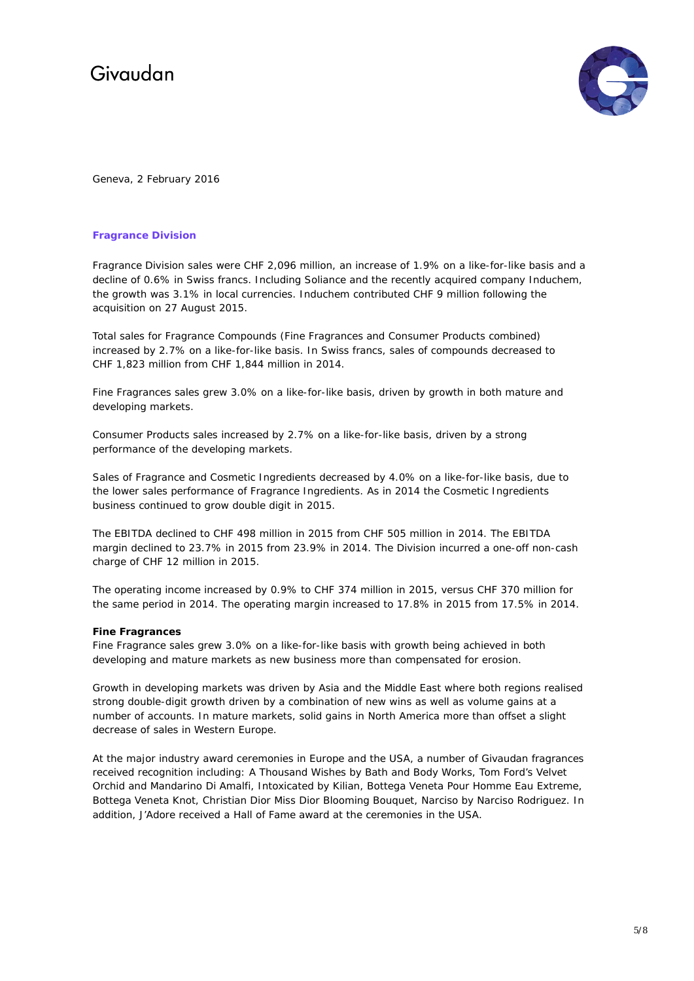

Geneva, 2 February 2016

#### **Fragrance Division**

Fragrance Division sales were CHF 2,096 million, an increase of 1.9% on a like-for-like basis and a decline of 0.6% in Swiss francs. Including Soliance and the recently acquired company Induchem, the growth was 3.1% in local currencies. Induchem contributed CHF 9 million following the acquisition on 27 August 2015.

Total sales for Fragrance Compounds (Fine Fragrances and Consumer Products combined) increased by 2.7% on a like-for-like basis. In Swiss francs, sales of compounds decreased to CHF 1,823 million from CHF 1,844 million in 2014.

Fine Fragrances sales grew 3.0% on a like-for-like basis, driven by growth in both mature and developing markets.

Consumer Products sales increased by 2.7% on a like-for-like basis, driven by a strong performance of the developing markets.

Sales of Fragrance and Cosmetic Ingredients decreased by 4.0% on a like-for-like basis, due to the lower sales performance of Fragrance Ingredients. As in 2014 the Cosmetic Ingredients business continued to grow double digit in 2015.

The EBITDA declined to CHF 498 million in 2015 from CHF 505 million in 2014. The EBITDA margin declined to 23.7% in 2015 from 23.9% in 2014. The Division incurred a one-off non-cash charge of CHF 12 million in 2015.

The operating income increased by 0.9% to CHF 374 million in 2015, versus CHF 370 million for the same period in 2014. The operating margin increased to 17.8% in 2015 from 17.5% in 2014.

#### **Fine Fragrances**

Fine Fragrance sales grew 3.0% on a like-for-like basis with growth being achieved in both developing and mature markets as new business more than compensated for erosion.

Growth in developing markets was driven by Asia and the Middle East where both regions realised strong double-digit growth driven by a combination of new wins as well as volume gains at a number of accounts. In mature markets, solid gains in North America more than offset a slight decrease of sales in Western Europe.

At the major industry award ceremonies in Europe and the USA, a number of Givaudan fragrances received recognition including: A Thousand Wishes by Bath and Body Works, Tom Ford's Velvet Orchid and Mandarino Di Amalfi, Intoxicated by Kilian, Bottega Veneta Pour Homme Eau Extreme, Bottega Veneta Knot, Christian Dior Miss Dior Blooming Bouquet, Narciso by Narciso Rodriguez. In addition, J'Adore received a Hall of Fame award at the ceremonies in the USA.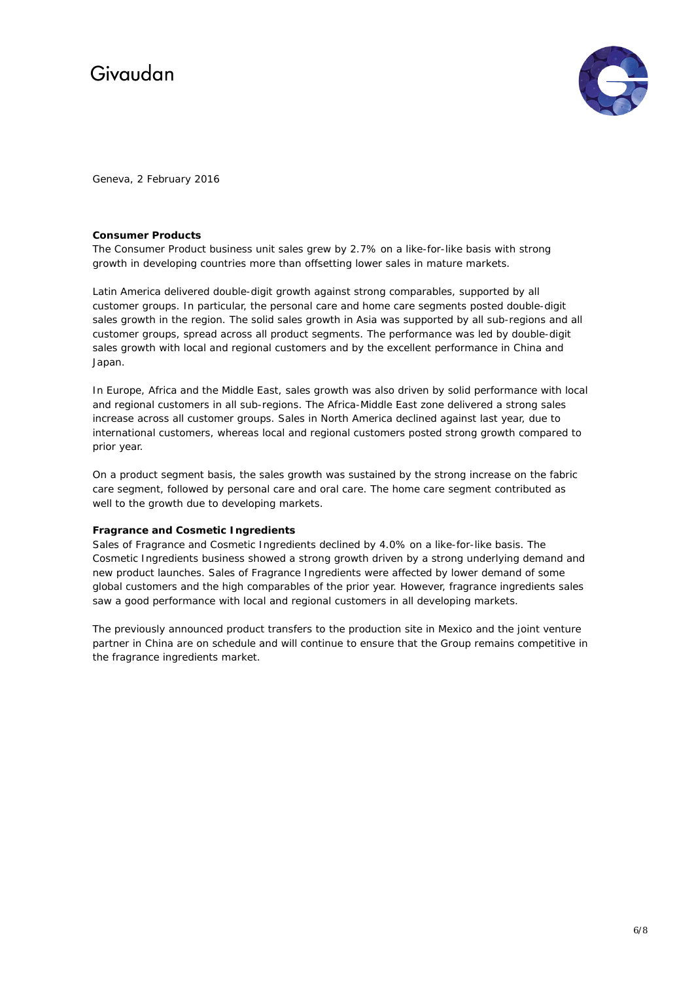

Geneva, 2 February 2016

#### **Consumer Products**

The Consumer Product business unit sales grew by 2.7% on a like-for-like basis with strong growth in developing countries more than offsetting lower sales in mature markets.

Latin America delivered double-digit growth against strong comparables, supported by all customer groups. In particular, the personal care and home care segments posted double-digit sales growth in the region. The solid sales growth in Asia was supported by all sub-regions and all customer groups, spread across all product segments. The performance was led by double-digit sales growth with local and regional customers and by the excellent performance in China and Japan.

In Europe, Africa and the Middle East, sales growth was also driven by solid performance with local and regional customers in all sub-regions. The Africa-Middle East zone delivered a strong sales increase across all customer groups. Sales in North America declined against last year, due to international customers, whereas local and regional customers posted strong growth compared to prior year.

On a product segment basis, the sales growth was sustained by the strong increase on the fabric care segment, followed by personal care and oral care. The home care segment contributed as well to the growth due to developing markets.

#### **Fragrance and Cosmetic Ingredients**

Sales of Fragrance and Cosmetic Ingredients declined by 4.0% on a like-for-like basis. The Cosmetic Ingredients business showed a strong growth driven by a strong underlying demand and new product launches. Sales of Fragrance Ingredients were affected by lower demand of some global customers and the high comparables of the prior year. However, fragrance ingredients sales saw a good performance with local and regional customers in all developing markets.

The previously announced product transfers to the production site in Mexico and the joint venture partner in China are on schedule and will continue to ensure that the Group remains competitive in the fragrance ingredients market.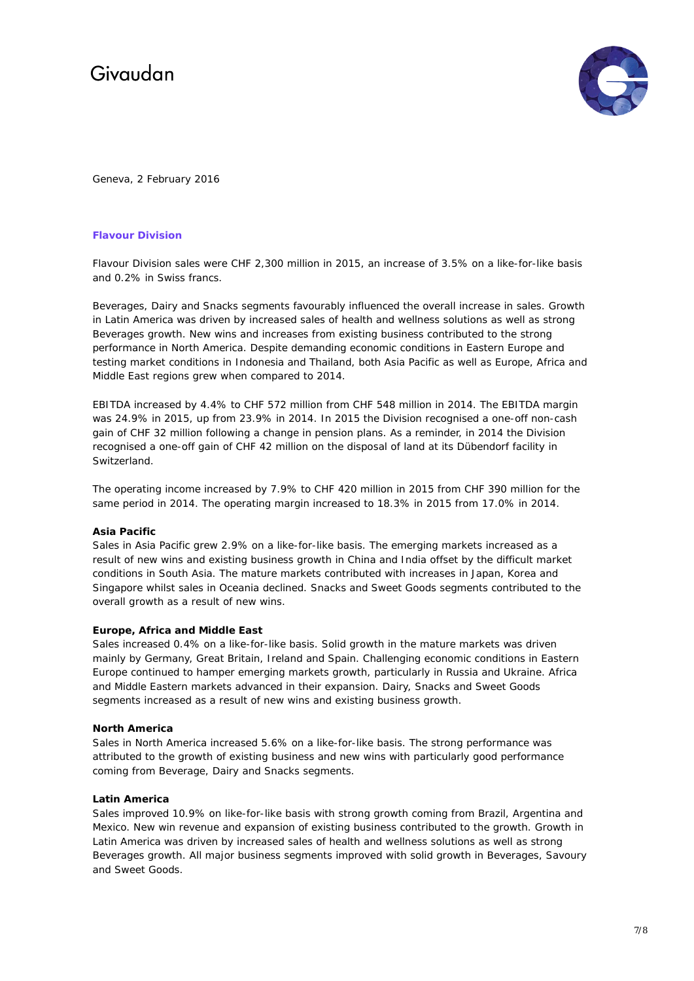

Geneva, 2 February 2016

### **Flavour Division**

Flavour Division sales were CHF 2,300 million in 2015, an increase of 3.5% on a like-for-like basis and 0.2% in Swiss francs.

Beverages, Dairy and Snacks segments favourably influenced the overall increase in sales. Growth in Latin America was driven by increased sales of health and wellness solutions as well as strong Beverages growth. New wins and increases from existing business contributed to the strong performance in North America. Despite demanding economic conditions in Eastern Europe and testing market conditions in Indonesia and Thailand, both Asia Pacific as well as Europe, Africa and Middle East regions grew when compared to 2014.

EBITDA increased by 4.4% to CHF 572 million from CHF 548 million in 2014. The EBITDA margin was 24.9% in 2015, up from 23.9% in 2014. In 2015 the Division recognised a one-off non-cash gain of CHF 32 million following a change in pension plans. As a reminder, in 2014 the Division recognised a one-off gain of CHF 42 million on the disposal of land at its Dübendorf facility in **Switzerland** 

The operating income increased by 7.9% to CHF 420 million in 2015 from CHF 390 million for the same period in 2014. The operating margin increased to 18.3% in 2015 from 17.0% in 2014.

#### **Asia Pacific**

Sales in Asia Pacific grew 2.9% on a like-for-like basis. The emerging markets increased as a result of new wins and existing business growth in China and India offset by the difficult market conditions in South Asia. The mature markets contributed with increases in Japan, Korea and Singapore whilst sales in Oceania declined. Snacks and Sweet Goods segments contributed to the overall growth as a result of new wins.

#### **Europe, Africa and Middle East**

Sales increased 0.4% on a like-for-like basis. Solid growth in the mature markets was driven mainly by Germany, Great Britain, Ireland and Spain. Challenging economic conditions in Eastern Europe continued to hamper emerging markets growth, particularly in Russia and Ukraine. Africa and Middle Eastern markets advanced in their expansion. Dairy, Snacks and Sweet Goods segments increased as a result of new wins and existing business growth.

#### **North America**

Sales in North America increased 5.6% on a like-for-like basis. The strong performance was attributed to the growth of existing business and new wins with particularly good performance coming from Beverage, Dairy and Snacks segments.

#### **Latin America**

Sales improved 10.9% on like-for-like basis with strong growth coming from Brazil, Argentina and Mexico. New win revenue and expansion of existing business contributed to the growth. Growth in Latin America was driven by increased sales of health and wellness solutions as well as strong Beverages growth. All major business segments improved with solid growth in Beverages, Savoury and Sweet Goods.